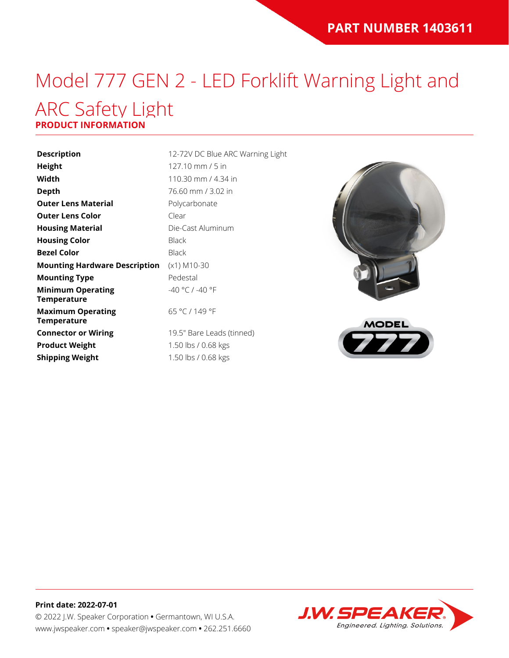### Model 777 GEN 2 - LED Forklift Warning Light and ARC Safety Light **PRODUCT INFORMATION**

# **Description** 12-72V DC Blue ARC Warning Light

| <b>Height</b>                                  | 127.1            |
|------------------------------------------------|------------------|
| Width                                          | 110.3            |
| Depth                                          | 76.60            |
| <b>Outer Lens Material</b>                     | Polyc            |
| <b>Outer Lens Color</b>                        | Clear            |
| <b>Housing Material</b>                        | Die-C            |
| <b>Housing Color</b>                           | Black            |
| <b>Bezel Color</b>                             | Black            |
| <b>Mounting Hardware Description</b>           | $(x1)$ $\Lambda$ |
| <b>Mounting Type</b>                           | Pede             |
| <b>Minimum Operating</b><br><b>Temperature</b> | $-40°$           |
| <b>Maximum Operating</b><br><b>Temperature</b> | 65 °C            |
| <b>Connector or Wiring</b>                     | 19.5"            |
| <b>Product Weight</b>                          | 1.50             |
| <b>Shipping Weight</b>                         | 1.50             |
|                                                |                  |

**Height** 127.10 mm / 5 in 0.30 mm / 4.34 in **Depth** 76.60 mm / 3.02 in **lycarbonate Housing Material** Die-Cast Aluminum ) M10-30 destal  $^{\circ}$ C / -40  $^{\circ}$ F 65 °C / 149 °F .5" Bare Leads (tinned)

**Product Weight** 1.50 lbs / 0.68 kgs 50 lbs / 0.68 kgs





### **Print date: 2022-07-01** © 2022 J.W. Speaker Corporation **•** Germantown, WI U.S.A. www.jwspeaker.com **•** speaker@jwspeaker.com **•** 262.251.6660

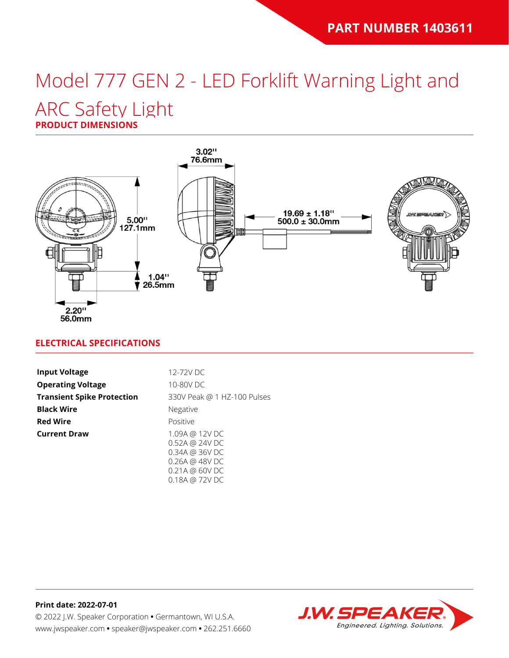# Model 777 GEN 2 - LED Forklift Warning Light and

## ARC Safety Light

**PRODUCT DIMENSIONS**



### **ELECTRICAL SPECIFICATIONS**

| <b>Input Voltage</b>              | 12-72V DC                                                                    |
|-----------------------------------|------------------------------------------------------------------------------|
| <b>Operating Voltage</b>          | 10-80V DC                                                                    |
| <b>Transient Spike Protection</b> | 330V Peak @ 1 HZ-100 Pulses                                                  |
| <b>Black Wire</b>                 | Negative                                                                     |
| <b>Red Wire</b>                   | Positive                                                                     |
| <b>Current Draw</b>               | 1.09A @ 12V DC<br>0.52A @ 24V DC<br>0.34A @ 36V DC<br>$0.26A \ @ \ 48V \ DC$ |

0.18A @ 72V DC

**Print date: 2022-07-01** © 2022 J.W. Speaker Corporation **•** Germantown, WI U.S.A. www.jwspeaker.com **•** speaker@jwspeaker.com **•** 262.251.6660

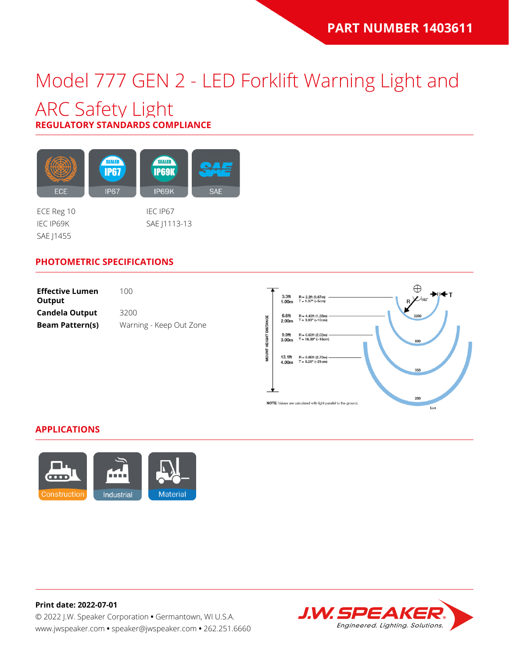## Model 777 GEN 2 - LED Forklift Warning Light and

### ARC Safety Light **REGULATORY STANDARDS COMPLIANCE**

SEALED SEALED **IP67 IP69K** ECE **IP67** IP69K **SAE** 

SAE J1455

ECE Reg 10 IEC IP67 IEC IP69K SAE J1113-13

### **PHOTOMETRIC SPECIFICATIONS**

| <b>Effective Lumen</b><br>Output | 100.                    |
|----------------------------------|-------------------------|
| <b>Candela Output</b>            | 3200                    |
| <b>Beam Pattern(s)</b>           | Warning - Keep Out Zone |



#### **APPLICATIONS**



**Print date: 2022-07-01** © 2022 J.W. Speaker Corporation **•** Germantown, WI U.S.A. www.jwspeaker.com **•** speaker@jwspeaker.com **•** 262.251.6660